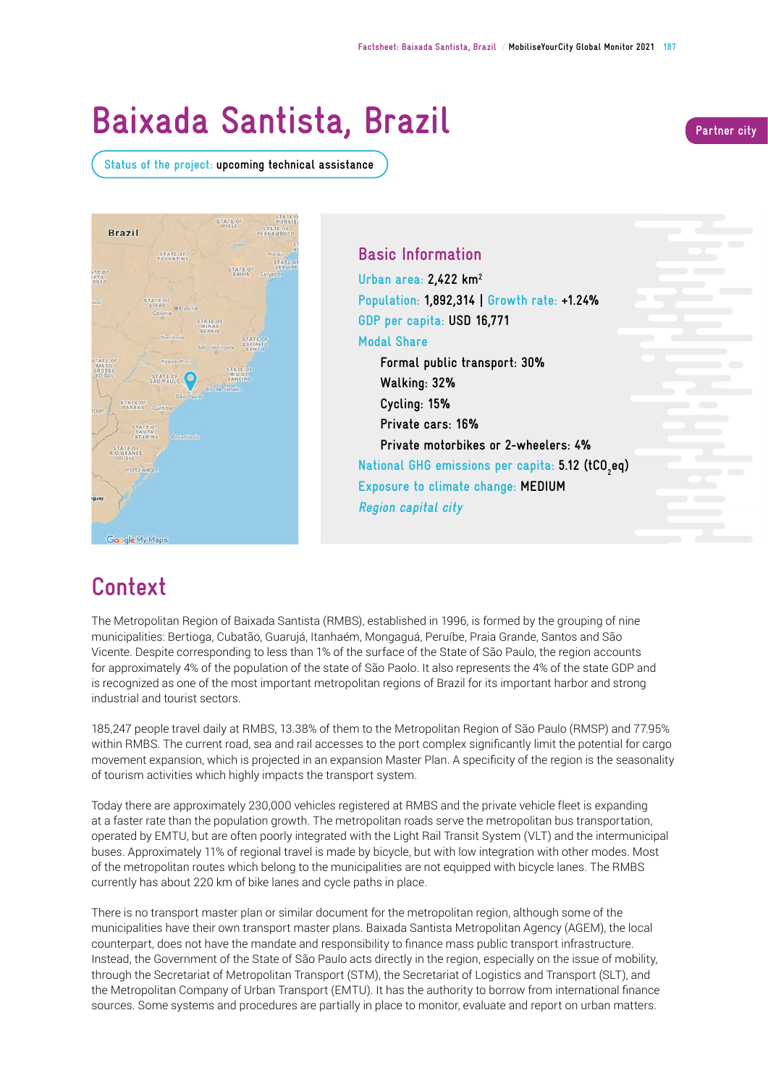# **Baixada Santista, Brazil Partner city**

**Status of the project: upcoming technical assistance** 





**Basic Information Urban area: 2,422 km2 Population: 1,892,314 | Growth rate: +1.24% GDP per capita: USD 16,771 Modal Share Formal public transport: 30% Walking: 32% Cycling: 15% Private cars: 16% Private motorbikes or 2-wheelers: 4% National GHG emissions per capita: 5.12 (tCO2 eq) Exposure to climate change: MEDIUM Region capital city**

## **Context**

The Metropolitan Region of Baixada Santista (RMBS), established in 1996, is formed by the grouping of nine municipalities: Bertioga, Cubatão, Guarujá, Itanhaém, Mongaguá, Peruíbe, Praia Grande, Santos and São Vicente. Despite corresponding to less than 1% of the surface of the State of São Paulo, the region accounts for approximately 4% of the population of the state of São Paolo. It also represents the 4% of the state GDP and is recognized as one of the most important metropolitan regions of Brazil for its important harbor and strong industrial and tourist sectors.

185,247 people travel daily at RMBS, 13.38% of them to the Metropolitan Region of São Paulo (RMSP) and 77.95% within RMBS. The current road, sea and rail accesses to the port complex signifcantly limit the potential for cargo movement expansion, which is projected in an expansion Master Plan. A specifcity of the region is the seasonality of tourism activities which highly impacts the transport system.

Today there are approximately 230,000 vehicles registered at RMBS and the private vehicle fleet is expanding at a faster rate than the population growth. The metropolitan roads serve the metropolitan bus transportation, operated by EMTU, but are often poorly integrated with the Light Rail Transit System (VLT) and the intermunicipal buses. Approximately 11% of regional travel is made by bicycle, but with low integration with other modes. Most of the metropolitan routes which belong to the municipalities are not equipped with bicycle lanes. The RMBS currently has about 220 km of bike lanes and cycle paths in place.

There is no transport master plan or similar document for the metropolitan region, although some of the municipalities have their own transport master plans. Baixada Santista Metropolitan Agency (AGEM), the local counterpart, does not have the mandate and responsibility to fnance mass public transport infrastructure. Instead, the Government of the State of São Paulo acts directly in the region, especially on the issue of mobility, through the Secretariat of Metropolitan Transport (STM), the Secretariat of Logistics and Transport (SLT), and the Metropolitan Company of Urban Transport (EMTU). It has the authority to borrow from international fnance sources. Some systems and procedures are partially in place to monitor, evaluate and report on urban matters.